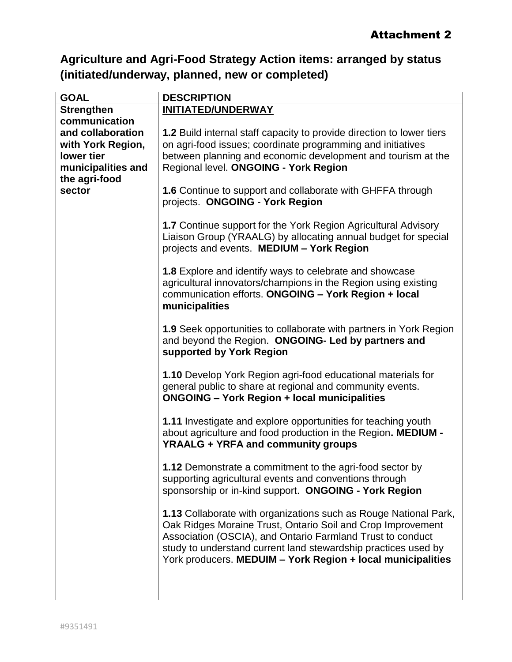## **Agriculture and Agri-Food Strategy Action items: arranged by status (initiated/underway, planned, new or completed)**

| <b>GOAL</b>        | <b>DESCRIPTION</b>                                                                                                                                                                                                                                                                                                                    |
|--------------------|---------------------------------------------------------------------------------------------------------------------------------------------------------------------------------------------------------------------------------------------------------------------------------------------------------------------------------------|
| <b>Strengthen</b>  | <b>INITIATED/UNDERWAY</b>                                                                                                                                                                                                                                                                                                             |
| communication      |                                                                                                                                                                                                                                                                                                                                       |
| and collaboration  | 1.2 Build internal staff capacity to provide direction to lower tiers                                                                                                                                                                                                                                                                 |
| with York Region,  | on agri-food issues; coordinate programming and initiatives                                                                                                                                                                                                                                                                           |
| lower tier         | between planning and economic development and tourism at the                                                                                                                                                                                                                                                                          |
| municipalities and | Regional level. ONGOING - York Region                                                                                                                                                                                                                                                                                                 |
| the agri-food      |                                                                                                                                                                                                                                                                                                                                       |
| sector             | 1.6 Continue to support and collaborate with GHFFA through                                                                                                                                                                                                                                                                            |
|                    | projects. ONGOING - York Region                                                                                                                                                                                                                                                                                                       |
|                    | 1.7 Continue support for the York Region Agricultural Advisory<br>Liaison Group (YRAALG) by allocating annual budget for special<br>projects and events. MEDIUM - York Region                                                                                                                                                         |
|                    | 1.8 Explore and identify ways to celebrate and showcase<br>agricultural innovators/champions in the Region using existing<br>communication efforts. ONGOING - York Region + local<br>municipalities                                                                                                                                   |
|                    | <b>1.9</b> Seek opportunities to collaborate with partners in York Region<br>and beyond the Region. ONGOING- Led by partners and<br>supported by York Region                                                                                                                                                                          |
|                    | <b>1.10</b> Develop York Region agri-food educational materials for<br>general public to share at regional and community events.<br><b>ONGOING - York Region + local municipalities</b>                                                                                                                                               |
|                    | <b>1.11</b> Investigate and explore opportunities for teaching youth<br>about agriculture and food production in the Region. MEDIUM -<br><b>YRAALG + YRFA and community groups</b>                                                                                                                                                    |
|                    | 1.12 Demonstrate a commitment to the agri-food sector by<br>supporting agricultural events and conventions through<br>sponsorship or in-kind support. ONGOING - York Region                                                                                                                                                           |
|                    | <b>1.13 Collaborate with organizations such as Rouge National Park,</b><br>Oak Ridges Moraine Trust, Ontario Soil and Crop Improvement<br>Association (OSCIA), and Ontario Farmland Trust to conduct<br>study to understand current land stewardship practices used by<br>York producers. MEDUIM - York Region + local municipalities |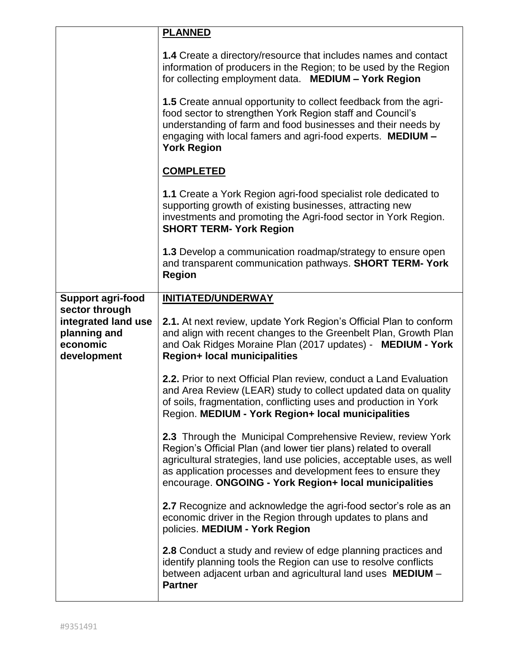|                                                                                  | <b>PLANNED</b>                                                                                                                                                                                                                                                                                                                           |
|----------------------------------------------------------------------------------|------------------------------------------------------------------------------------------------------------------------------------------------------------------------------------------------------------------------------------------------------------------------------------------------------------------------------------------|
|                                                                                  | 1.4 Create a directory/resource that includes names and contact<br>information of producers in the Region; to be used by the Region<br>for collecting employment data. MEDIUM - York Region                                                                                                                                              |
|                                                                                  | 1.5 Create annual opportunity to collect feedback from the agri-<br>food sector to strengthen York Region staff and Council's<br>understanding of farm and food businesses and their needs by<br>engaging with local famers and agri-food experts. MEDIUM -<br><b>York Region</b>                                                        |
|                                                                                  | <b>COMPLETED</b>                                                                                                                                                                                                                                                                                                                         |
|                                                                                  | 1.1 Create a York Region agri-food specialist role dedicated to<br>supporting growth of existing businesses, attracting new<br>investments and promoting the Agri-food sector in York Region.<br><b>SHORT TERM- York Region</b>                                                                                                          |
|                                                                                  | <b>1.3</b> Develop a communication roadmap/strategy to ensure open<br>and transparent communication pathways. SHORT TERM- York<br><b>Region</b>                                                                                                                                                                                          |
| <b>Support agri-food</b>                                                         | <b>INITIATED/UNDERWAY</b>                                                                                                                                                                                                                                                                                                                |
| sector through<br>integrated land use<br>planning and<br>economic<br>development | 2.1. At next review, update York Region's Official Plan to conform<br>and align with recent changes to the Greenbelt Plan, Growth Plan<br>and Oak Ridges Moraine Plan (2017 updates) - MEDIUM - York<br><b>Region+ local municipalities</b>                                                                                              |
|                                                                                  | 2.2. Prior to next Official Plan review, conduct a Land Evaluation<br>and Area Review (LEAR) study to collect updated data on quality<br>of soils, fragmentation, conflicting uses and production in York<br>Region. MEDIUM - York Region+ local municipalities                                                                          |
|                                                                                  | <b>2.3</b> Through the Municipal Comprehensive Review, review York<br>Region's Official Plan (and lower tier plans) related to overall<br>agricultural strategies, land use policies, acceptable uses, as well<br>as application processes and development fees to ensure they<br>encourage. ONGOING - York Region+ local municipalities |
|                                                                                  | 2.7 Recognize and acknowledge the agri-food sector's role as an                                                                                                                                                                                                                                                                          |
|                                                                                  | economic driver in the Region through updates to plans and<br>policies. MEDIUM - York Region                                                                                                                                                                                                                                             |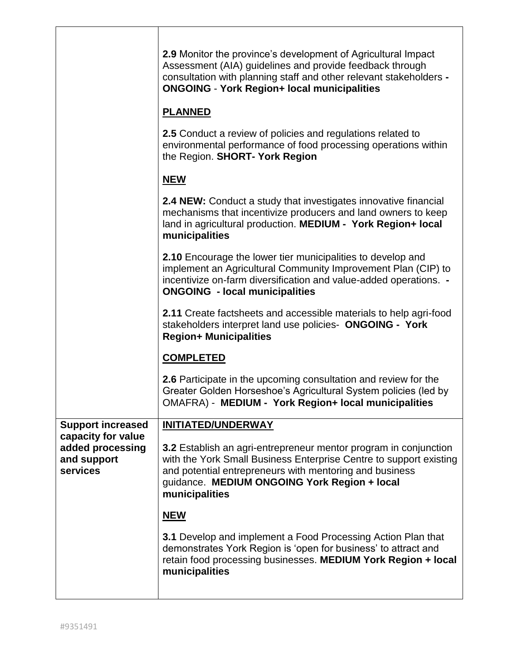|                                                | <b>2.9</b> Monitor the province's development of Agricultural Impact<br>Assessment (AIA) guidelines and provide feedback through<br>consultation with planning staff and other relevant stakeholders -<br><b>ONGOING - York Region+ local municipalities</b>        |
|------------------------------------------------|---------------------------------------------------------------------------------------------------------------------------------------------------------------------------------------------------------------------------------------------------------------------|
|                                                | <b>PLANNED</b>                                                                                                                                                                                                                                                      |
|                                                | 2.5 Conduct a review of policies and regulations related to<br>environmental performance of food processing operations within<br>the Region. SHORT- York Region                                                                                                     |
|                                                | <b>NEW</b>                                                                                                                                                                                                                                                          |
|                                                | <b>2.4 NEW:</b> Conduct a study that investigates innovative financial<br>mechanisms that incentivize producers and land owners to keep<br>land in agricultural production. MEDIUM - York Region+ local<br>municipalities                                           |
|                                                | 2.10 Encourage the lower tier municipalities to develop and<br>implement an Agricultural Community Improvement Plan (CIP) to<br>incentivize on-farm diversification and value-added operations. -<br><b>ONGOING</b> - local municipalities                          |
|                                                | 2.11 Create factsheets and accessible materials to help agri-food<br>stakeholders interpret land use policies- ONGOING - York<br><b>Region+ Municipalities</b>                                                                                                      |
|                                                | <b>COMPLETED</b>                                                                                                                                                                                                                                                    |
|                                                | 2.6 Participate in the upcoming consultation and review for the<br>Greater Golden Horseshoe's Agricultural System policies (led by<br>OMAFRA) - MEDIUM - York Region+ local municipalities                                                                          |
| <b>Support increased</b><br>capacity for value | <b>INITIATED/UNDERWAY</b>                                                                                                                                                                                                                                           |
| added processing<br>and support<br>services    | 3.2 Establish an agri-entrepreneur mentor program in conjunction<br>with the York Small Business Enterprise Centre to support existing<br>and potential entrepreneurs with mentoring and business<br>guidance. MEDIUM ONGOING York Region + local<br>municipalities |
|                                                | <b>NEW</b>                                                                                                                                                                                                                                                          |
|                                                | 3.1 Develop and implement a Food Processing Action Plan that<br>demonstrates York Region is 'open for business' to attract and<br>retain food processing businesses. MEDIUM York Region + local<br>municipalities                                                   |
|                                                |                                                                                                                                                                                                                                                                     |

 $\overline{1}$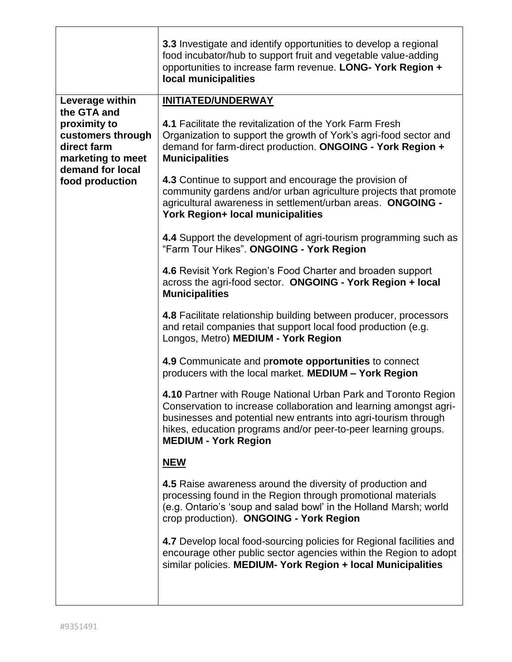|                                                                                                                             | 3.3 Investigate and identify opportunities to develop a regional<br>food incubator/hub to support fruit and vegetable value-adding<br>opportunities to increase farm revenue. LONG- York Region +<br>local municipalities                                                                               |
|-----------------------------------------------------------------------------------------------------------------------------|---------------------------------------------------------------------------------------------------------------------------------------------------------------------------------------------------------------------------------------------------------------------------------------------------------|
| Leverage within                                                                                                             | <b>INITIATED/UNDERWAY</b>                                                                                                                                                                                                                                                                               |
| the GTA and<br>proximity to<br>customers through<br>direct farm<br>marketing to meet<br>demand for local<br>food production | 4.1 Facilitate the revitalization of the York Farm Fresh<br>Organization to support the growth of York's agri-food sector and<br>demand for farm-direct production. ONGOING - York Region +<br><b>Municipalities</b>                                                                                    |
|                                                                                                                             | 4.3 Continue to support and encourage the provision of<br>community gardens and/or urban agriculture projects that promote<br>agricultural awareness in settlement/urban areas. ONGOING -<br>York Region+ local municipalities                                                                          |
|                                                                                                                             | 4.4 Support the development of agri-tourism programming such as<br>"Farm Tour Hikes". ONGOING - York Region                                                                                                                                                                                             |
|                                                                                                                             | 4.6 Revisit York Region's Food Charter and broaden support<br>across the agri-food sector. ONGOING - York Region + local<br><b>Municipalities</b>                                                                                                                                                       |
|                                                                                                                             | 4.8 Facilitate relationship building between producer, processors<br>and retail companies that support local food production (e.g.<br>Longos, Metro) MEDIUM - York Region                                                                                                                               |
|                                                                                                                             | 4.9 Communicate and promote opportunities to connect<br>producers with the local market. MEDIUM - York Region                                                                                                                                                                                           |
|                                                                                                                             | 4.10 Partner with Rouge National Urban Park and Toronto Region<br>Conservation to increase collaboration and learning amongst agri-<br>businesses and potential new entrants into agri-tourism through<br>hikes, education programs and/or peer-to-peer learning groups.<br><b>MEDIUM - York Region</b> |
|                                                                                                                             | <u>NEW</u>                                                                                                                                                                                                                                                                                              |
|                                                                                                                             | 4.5 Raise awareness around the diversity of production and<br>processing found in the Region through promotional materials<br>(e.g. Ontario's 'soup and salad bowl' in the Holland Marsh; world<br>crop production). ONGOING - York Region                                                              |
|                                                                                                                             | 4.7 Develop local food-sourcing policies for Regional facilities and<br>encourage other public sector agencies within the Region to adopt<br>similar policies. MEDIUM-York Region + local Municipalities                                                                                                |
|                                                                                                                             |                                                                                                                                                                                                                                                                                                         |